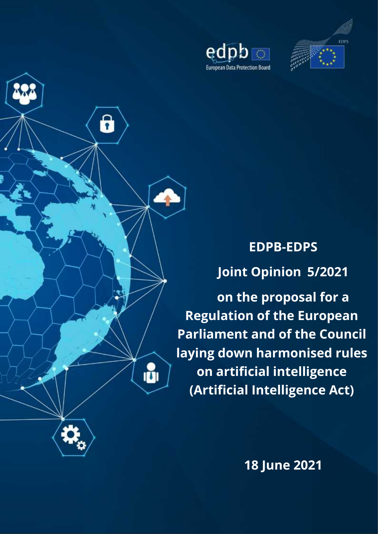





**EDPB-EDPS Joint Opinion 5/2021**

**on the proposal for a Regulation of the European Parliament and of the Council laying down harmonised rules on artificial intelligence (Artificial Intelligence Act)**

**18 June 2021**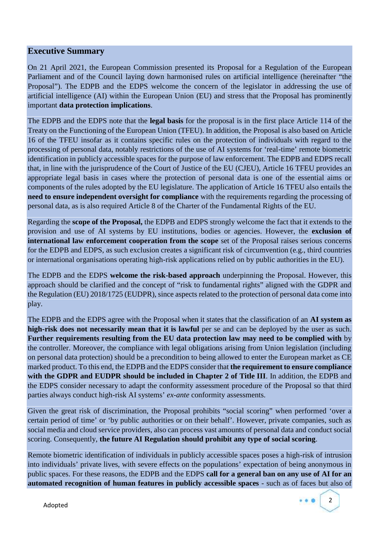#### **Executive Summary**

On 21 April 2021, the European Commission presented its Proposal for a Regulation of the European Parliament and of the Council laying down harmonised rules on artificial intelligence (hereinafter "the Proposal"). The EDPB and the EDPS welcome the concern of the legislator in addressing the use of artificial intelligence (AI) within the European Union (EU) and stress that the Proposal has prominently important **data protection implications**.

The EDPB and the EDPS note that the **legal basis** for the proposal is in the first place Article 114 of the Treaty on the Functioning of the European Union (TFEU). In addition, the Proposal is also based on Article 16 of the TFEU insofar as it contains specific rules on the protection of individuals with regard to the processing of personal data, notably restrictions of the use of AI systems for 'real-time' remote biometric identification in publicly accessible spaces for the purpose of law enforcement. The EDPB and EDPS recall that, in line with the jurisprudence of the Court of Justice of the EU (CJEU), Article 16 TFEU provides an appropriate legal basis in cases where the protection of personal data is one of the essential aims or components of the rules adopted by the EU legislature. The application of Article 16 TFEU also entails the **need to ensure independent oversight for compliance** with the requirements regarding the processing of personal data, as is also required Article 8 of the Charter of the Fundamental Rights of the EU.

Regarding the **scope of the Proposal,** the EDPB and EDPS strongly welcome the fact that it extends to the provision and use of AI systems by EU institutions, bodies or agencies. However, the **exclusion of international law enforcement cooperation from the scope** set of the Proposal raises serious concerns for the EDPB and EDPS, as such exclusion creates a significant risk of circumvention (e.g., third countries or international organisations operating high-risk applications relied on by public authorities in the EU).

The EDPB and the EDPS **welcome the risk-based approach** underpinning the Proposal. However, this approach should be clarified and the concept of "risk to fundamental rights" aligned with the GDPR and the Regulation (EU) 2018/1725 (EUDPR), since aspects related to the protection of personal data come into play.

The EDPB and the EDPS agree with the Proposal when it states that the classification of an **AI system as high-risk does not necessarily mean that it is lawful** per se and can be deployed by the user as such. **Further requirements resulting from the EU data protection law may need to be complied with** by the controller. Moreover, the compliance with legal obligations arising from Union legislation (including on personal data protection) should be a precondition to being allowed to enter the European market as CE marked product. To this end, the EDPB and the EDPS consider that **the requirement to ensure compliance with the GDPR and EUDPR should be included in Chapter 2 of Title III**. In addition, the EDPB and the EDPS consider necessary to adapt the conformity assessment procedure of the Proposal so that third parties always conduct high-risk AI systems' *ex-ante* conformity assessments.

Given the great risk of discrimination, the Proposal prohibits "social scoring" when performed 'over a certain period of time' or 'by public authorities or on their behalf'. However, private companies, such as social media and cloud service providers, also can process vast amounts of personal data and conduct social scoring. Consequently, **the future AI Regulation should prohibit any type of social scoring**.

Remote biometric identification of individuals in publicly accessible spaces poses a high-risk of intrusion into individuals' private lives, with severe effects on the populations' expectation of being anonymous in public spaces. For these reasons, the EDPB and the EDPS **call for a general ban on any use of AI for an automated recognition of human features in publicly accessible spaces** - such as of faces but also of

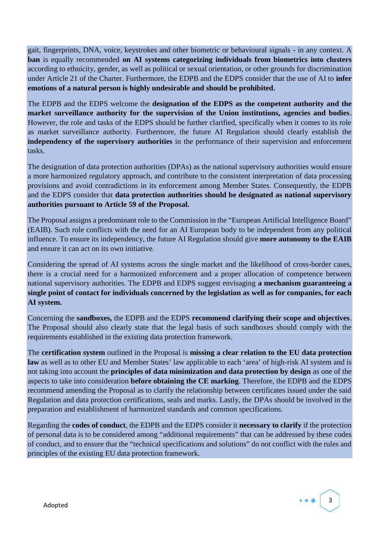gait, fingerprints, DNA, voice, keystrokes and other biometric or behavioural signals - in any context. A **ban** is equally recommended **on AI systems categorizing individuals from biometrics into clusters** according to ethnicity, gender, as well as political or sexual orientation, or other grounds for discrimination under Article 21 of the Charter. Furthermore, the EDPB and the EDPS consider that the use of AI to **infer emotions of a natural person is highly undesirable and should be prohibited.**

The EDPB and the EDPS welcome the **designation of the EDPS as the competent authority and the market surveillance authority for the supervision of the Union institutions, agencies and bodies**. However, the role and tasks of the EDPS should be further clarified, specifically when it comes to its role as market surveillance authority. Furthermore, the future AI Regulation should clearly establish the **independency of the supervisory authorities** in the performance of their supervision and enforcement tasks.

The designation of data protection authorities (DPAs) as the national supervisory authorities would ensure a more harmonized regulatory approach, and contribute to the consistent interpretation of data processing provisions and avoid contradictions in its enforcement among Member States. Consequently, the EDPB and the EDPS consider that **data protection authorities should be designated as national supervisory authorities pursuant to Article 59 of the Proposal.**

The Proposal assigns a predominant role to the Commission in the "European Artificial Intelligence Board" (EAIB). Such role conflicts with the need for an AI European body to be independent from any political influence. To ensure its independency, the future AI Regulation should give **more autonomy to the EAIB** and ensure it can act on its own initiative.

Considering the spread of AI systems across the single market and the likelihood of cross-border cases, there is a crucial need for a harmonized enforcement and a proper allocation of competence between national supervisory authorities. The EDPB and EDPS suggest envisaging **a mechanism guaranteeing a single point of contact for individuals concerned by the legislation as well as for companies, for each AI system.**

Concerning the **sandboxes,** the EDPB and the EDPS **recommend clarifying their scope and objectives**. The Proposal should also clearly state that the legal basis of such sandboxes should comply with the requirements established in the existing data protection framework.

The **certification system** outlined in the Proposal is **missing a clear relation to the EU data protection law** as well as to other EU and Member States' law applicable to each 'area' of high-risk AI system and is not taking into account the **principles of data minimization and data protection by design** as one of the aspects to take into consideration **before obtaining the CE marking**. Therefore, the EDPB and the EDPS recommend amending the Proposal as to clarify the relationship between certificates issued under the said Regulation and data protection certifications, seals and marks. Lastly, the DPAs should be involved in the preparation and establishment of harmonized standards and common specifications.

Regarding the **codes of conduct**, the EDPB and the EDPS consider it **necessary to clarify** if the protection of personal data is to be considered among "additional requirements" that can be addressed by these codes of conduct, and to ensure that the "technical specifications and solutions" do not conflict with the rules and principles of the existing EU data protection framework.

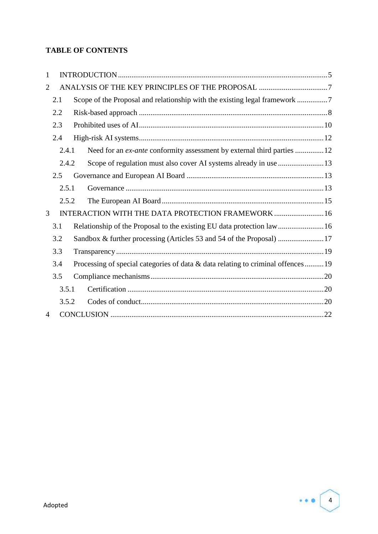## **TABLE OF CONTENTS**

| 1                                                                                   |     |                                                                                 |  |                                                                        |  |  |
|-------------------------------------------------------------------------------------|-----|---------------------------------------------------------------------------------|--|------------------------------------------------------------------------|--|--|
| 2                                                                                   |     |                                                                                 |  |                                                                        |  |  |
|                                                                                     | 2.1 |                                                                                 |  |                                                                        |  |  |
|                                                                                     | 2.2 |                                                                                 |  |                                                                        |  |  |
|                                                                                     | 2.3 |                                                                                 |  |                                                                        |  |  |
|                                                                                     | 2.4 |                                                                                 |  |                                                                        |  |  |
|                                                                                     |     | 2.4.1                                                                           |  | Need for an ex-ante conformity assessment by external third parties 12 |  |  |
|                                                                                     |     | 2.4.2                                                                           |  |                                                                        |  |  |
|                                                                                     | 2.5 |                                                                                 |  |                                                                        |  |  |
|                                                                                     |     | 2.5.1                                                                           |  |                                                                        |  |  |
|                                                                                     |     | 2.5.2                                                                           |  |                                                                        |  |  |
| 3<br>INTERACTION WITH THE DATA PROTECTION FRAMEWORK  16                             |     |                                                                                 |  |                                                                        |  |  |
| 3.1<br>Relationship of the Proposal to the existing EU data protection law16<br>3.2 |     |                                                                                 |  |                                                                        |  |  |
|                                                                                     |     |                                                                                 |  |                                                                        |  |  |
| 3.3                                                                                 |     |                                                                                 |  |                                                                        |  |  |
| 3.4                                                                                 |     | Processing of special categories of data & data relating to criminal offences19 |  |                                                                        |  |  |
|                                                                                     | 3.5 |                                                                                 |  |                                                                        |  |  |
|                                                                                     |     | 3.5.1                                                                           |  |                                                                        |  |  |
|                                                                                     |     | 3.5.2                                                                           |  |                                                                        |  |  |
| $\overline{4}$                                                                      |     |                                                                                 |  |                                                                        |  |  |

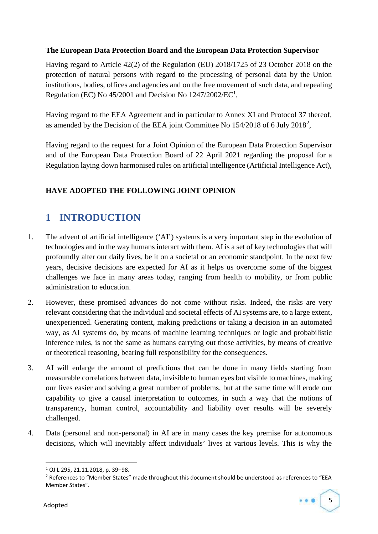#### **The European Data Protection Board and the European Data Protection Supervisor**

Having regard to Article 42(2) of the Regulation (EU) 2018/1725 of 23 October 2018 on the protection of natural persons with regard to the processing of personal data by the Union institutions, bodies, offices and agencies and on the free movement of such data, and repealing Regulation (EC) No  $45/2001$  and Decision No  $1247/2002/EC<sup>1</sup>$ ,

Having regard to the EEA Agreement and in particular to Annex XI and Protocol 37 thereof, as amended by the Decision of the EEA joint Committee No 154/2018 of 6 July 2018<sup>2</sup>,

Having regard to the request for a Joint Opinion of the European Data Protection Supervisor and of the European Data Protection Board of 22 April 2021 regarding the proposal for a Regulation laying down harmonised rules on artificial intelligence (Artificial Intelligence Act),

## **HAVE ADOPTED THE FOLLOWING JOINT OPINION**

## **1 INTRODUCTION**

- 1. The advent of artificial intelligence ('AI') systems is a very important step in the evolution of technologies and in the way humans interact with them. AI is a set of key technologies that will profoundly alter our daily lives, be it on a societal or an economic standpoint. In the next few years, decisive decisions are expected for AI as it helps us overcome some of the biggest challenges we face in many areas today, ranging from health to mobility, or from public administration to education.
- 2. However, these promised advances do not come without risks. Indeed, the risks are very relevant considering that the individual and societal effects of AI systems are, to a large extent, unexperienced. Generating content, making predictions or taking a decision in an automated way, as AI systems do, by means of machine learning techniques or logic and probabilistic inference rules, is not the same as humans carrying out those activities, by means of creative or theoretical reasoning, bearing full responsibility for the consequences.
- 3. AI will enlarge the amount of predictions that can be done in many fields starting from measurable correlations between data, invisible to human eyes but visible to machines, making our lives easier and solving a great number of problems, but at the same time will erode our capability to give a causal interpretation to outcomes, in such a way that the notions of transparency, human control, accountability and liability over results will be severely challenged.
- 4. Data (personal and non-personal) in AI are in many cases the key premise for autonomous decisions, which will inevitably affect individuals' lives at various levels. This is why the

<sup>&</sup>lt;sup>2</sup> References to "Member States" made throughout this document should be understood as references to "EEA Member States".



<sup>1</sup> OJ L 295, 21.11.2018, p. 39–98.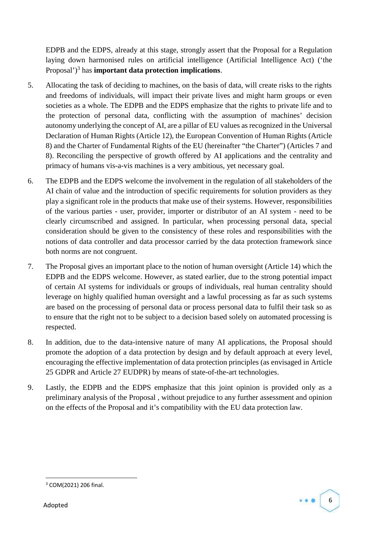EDPB and the EDPS, already at this stage, strongly assert that the Proposal for a Regulation laying down harmonised rules on artificial intelligence (Artificial Intelligence Act) ('the Proposal')<sup>3</sup> has **important data protection implications**.

- 5. Allocating the task of deciding to machines, on the basis of data, will create risks to the rights and freedoms of individuals, will impact their private lives and might harm groups or even societies as a whole. The EDPB and the EDPS emphasize that the rights to private life and to the protection of personal data, conflicting with the assumption of machines' decision autonomy underlying the concept of AI, are a pillar of EU values as recognized in the Universal Declaration of Human Rights (Article 12), the European Convention of Human Rights (Article 8) and the Charter of Fundamental Rights of the EU (hereinafter "the Charter") (Articles 7 and 8). Reconciling the perspective of growth offered by AI applications and the centrality and primacy of humans vis-a-vis machines is a very ambitious, yet necessary goal.
- 6. The EDPB and the EDPS welcome the involvement in the regulation of all stakeholders of the AI chain of value and the introduction of specific requirements for solution providers as they play a significant role in the products that make use of their systems. However, responsibilities of the various parties - user, provider, importer or distributor of an AI system - need to be clearly circumscribed and assigned. In particular, when processing personal data, special consideration should be given to the consistency of these roles and responsibilities with the notions of data controller and data processor carried by the data protection framework since both norms are not congruent.
- 7. The Proposal gives an important place to the notion of human oversight (Article 14) which the EDPB and the EDPS welcome. However, as stated earlier, due to the strong potential impact of certain AI systems for individuals or groups of individuals, real human centrality should leverage on highly qualified human oversight and a lawful processing as far as such systems are based on the processing of personal data or process personal data to fulfil their task so as to ensure that the right not to be subject to a decision based solely on automated processing is respected.
- 8. In addition, due to the data-intensive nature of many AI applications, the Proposal should promote the adoption of a data protection by design and by default approach at every level, encouraging the effective implementation of data protection principles (as envisaged in Article 25 GDPR and Article 27 EUDPR) by means of state-of-the-art technologies.
- 9. Lastly, the EDPB and the EDPS emphasize that this joint opinion is provided only as a preliminary analysis of the Proposal , without prejudice to any further assessment and opinion on the effects of the Proposal and it's compatibility with the EU data protection law.



<sup>3</sup> COM(2021) 206 final.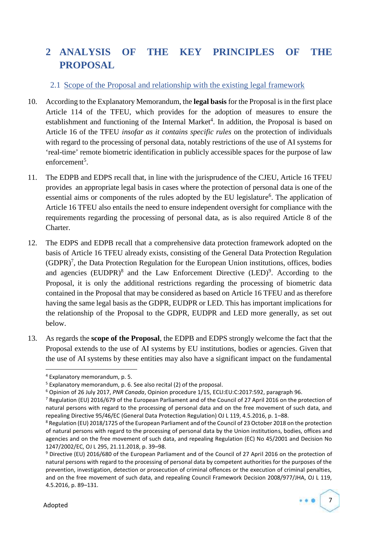# **2 ANALYSIS OF THE KEY PRINCIPLES OF THE PROPOSAL**

#### 2.1 Scope of the Proposal and relationship with the existing legal framework

- 10. According to the Explanatory Memorandum, the **legal basis** for the Proposal is in the first place Article 114 of the TFEU, which provides for the adoption of measures to ensure the establishment and functioning of the Internal Market<sup>4</sup>. In addition, the Proposal is based on Article 16 of the TFEU *insofar as it contains specific rules* on the protection of individuals with regard to the processing of personal data, notably restrictions of the use of AI systems for 'real-time' remote biometric identification in publicly accessible spaces for the purpose of law enforcement<sup>5</sup>.
- 11. The EDPB and EDPS recall that, in line with the jurisprudence of the CJEU, Article 16 TFEU provides an appropriate legal basis in cases where the protection of personal data is one of the essential aims or components of the rules adopted by the EU legislature<sup>6</sup>. The application of Article 16 TFEU also entails the need to ensure independent oversight for compliance with the requirements regarding the processing of personal data, as is also required Article 8 of the Charter.
- 12. The EDPS and EDPB recall that a comprehensive data protection framework adopted on the basis of Article 16 TFEU already exists, consisting of the General Data Protection Regulation (GDPR)<sup>7</sup> , the Data Protection Regulation for the European Union institutions, offices, bodies and agencies  $(EUDPR)^8$  and the Law Enforcement Directive  $(LED)^9$ . According to the Proposal, it is only the additional restrictions regarding the processing of biometric data contained in the Proposal that may be considered as based on Article 16 TFEU and as therefore having the same legal basis as the GDPR, EUDPR or LED. This has important implications for the relationship of the Proposal to the GDPR, EUDPR and LED more generally, as set out below.
- 13. As regards the **scope of the Proposal**, the EDPB and EDPS strongly welcome the fact that the Proposal extends to the use of AI systems by EU institutions, bodies or agencies. Given that the use of AI systems by these entities may also have a significant impact on the fundamental

<sup>&</sup>lt;sup>9</sup> Directive (EU) 2016/680 of the European Parliament and of the Council of 27 April 2016 on the protection of natural persons with regard to the processing of personal data by competent authorities for the purposes of the prevention, investigation, detection or prosecution of criminal offences or the execution of criminal penalties, and on the free movement of such data, and repealing Council Framework Decision 2008/977/JHA, OJ L 119, 4.5.2016, p. 89–131.



<sup>4</sup> Explanatory memorandum, p. 5.

 $5$  Explanatory memorandum, p. 6. See also recital (2) of the proposal.

<sup>6</sup> Opinion of 26 July 2017, *PNR Canada*, Opinion procedure 1/15, ECLI:EU:C:2017:592, paragraph 96.

<sup>7</sup> Regulation (EU) 2016/679 of the European Parliament and of the Council of 27 April 2016 on the protection of natural persons with regard to the processing of personal data and on the free movement of such data, and repealing Directive 95/46/EC (General Data Protection Regulation) OJ L 119, 4.5.2016, p. 1–88.

<sup>&</sup>lt;sup>8</sup> Regulation (EU) 2018/1725 of the European Parliament and of the Council of 23 October 2018 on the protection of natural persons with regard to the processing of personal data by the Union institutions, bodies, offices and agencies and on the free movement of such data, and repealing Regulation (EC) No 45/2001 and Decision No 1247/2002/EC, OJ L 295, 21.11.2018, p. 39–98.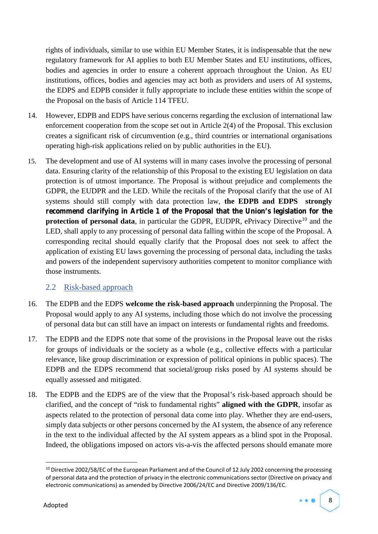rights of individuals, similar to use within EU Member States, it is indispensable that the new regulatory framework for AI applies to both EU Member States and EU institutions, offices, bodies and agencies in order to ensure a coherent approach throughout the Union. As EU institutions, offices, bodies and agencies may act both as providers and users of AI systems, the EDPS and EDPB consider it fully appropriate to include these entities within the scope of the Proposal on the basis of Article 114 TFEU.

- 14. However, EDPB and EDPS have serious concerns regarding the exclusion of international law enforcement cooperation from the scope set out in Article 2(4) of the Proposal. This exclusion creates a significant risk of circumvention (e.g., third countries or international organisations operating high-risk applications relied on by public authorities in the EU).
- 15. The development and use of AI systems will in many cases involve the processing of personal data. Ensuring clarity of the relationship of this Proposal to the existing EU legislation on data protection is of utmost importance. The Proposal is without prejudice and complements the GDPR, the EUDPR and the LED. While the recitals of the Proposal clarify that the use of AI systems should still comply with data protection law, **the EDPB and EDPS strongly recommend clarifying in Article 1 of the Proposal that the Union's legislation for the protection of personal data**, in particular the GDPR, EUDPR, ePrivacy Directive<sup>10</sup> and the LED, shall apply to any processing of personal data falling within the scope of the Proposal. A corresponding recital should equally clarify that the Proposal does not seek to affect the application of existing EU laws governing the processing of personal data, including the tasks and powers of the independent supervisory authorities competent to monitor compliance with those instruments.

#### 2.2 Risk-based approach

- 16. The EDPB and the EDPS **welcome the risk-based approach** underpinning the Proposal. The Proposal would apply to any AI systems, including those which do not involve the processing of personal data but can still have an impact on interests or fundamental rights and freedoms.
- 17. The EDPB and the EDPS note that some of the provisions in the Proposal leave out the risks for groups of individuals or the society as a whole (e.g., collective effects with a particular relevance, like group discrimination or expression of political opinions in public spaces). The EDPB and the EDPS recommend that societal/group risks posed by AI systems should be equally assessed and mitigated.
- 18. The EDPB and the EDPS are of the view that the Proposal's risk-based approach should be clarified, and the concept of "risk to fundamental rights" **aligned with the GDPR**, insofar as aspects related to the protection of personal data come into play. Whether they are end-users, simply data subjects or other persons concerned by the AI system, the absence of any reference in the text to the individual affected by the AI system appears as a blind spot in the Proposal. Indeed, the obligations imposed on actors vis-a-vis the affected persons should emanate more

 $10$  Directive 2002/58/EC of the European Parliament and of the Council of 12 July 2002 concerning the processing of personal data and the protection of privacy in the electronic communications sector (Directive on privacy and electronic communications) as amended by Directive 2006/24/EC and Directive 2009/136/EC.

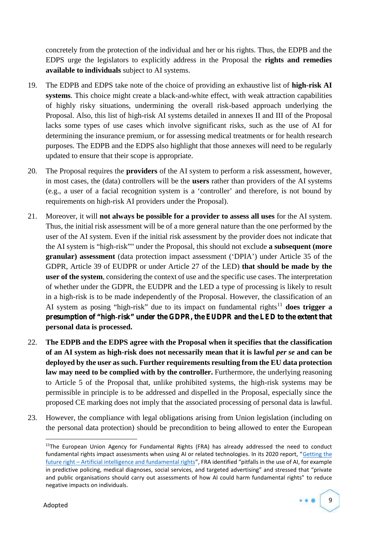concretely from the protection of the individual and her or his rights. Thus, the EDPB and the EDPS urge the legislators to explicitly address in the Proposal the **rights and remedies available to individuals** subject to AI systems.

- 19. The EDPB and EDPS take note of the choice of providing an exhaustive list of **high-risk AI systems**. This choice might create a black-and-white effect, with weak attraction capabilities of highly risky situations, undermining the overall risk-based approach underlying the Proposal. Also, this list of high-risk AI systems detailed in annexes II and III of the Proposal lacks some types of use cases which involve significant risks, such as the use of AI for determining the insurance premium, or for assessing medical treatments or for health research purposes. The EDPB and the EDPS also highlight that those annexes will need to be regularly updated to ensure that their scope is appropriate.
- 20. The Proposal requires the **providers** of the AI system to perform a risk assessment, however, in most cases, the (data) controllers will be the **users** rather than providers of the AI systems (e.g., a user of a facial recognition system is a 'controller' and therefore, is not bound by requirements on high-risk AI providers under the Proposal).
- 21. Moreover, it will **not always be possible for a provider to assess all uses** for the AI system. Thus, the initial risk assessment will be of a more general nature than the one performed by the user of the AI system. Even if the initial risk assessment by the provider does not indicate that the AI system is "high-risk"" under the Proposal, this should not exclude **a subsequent (more granular) assessment** (data protection impact assessment ('DPIA') under Article 35 of the GDPR, Article 39 of EUDPR or under Article 27 of the LED) **that should be made by the user of the system**, considering the context of use and the specific use cases. The interpretation of whether under the GDPR, the EUDPR and the LED a type of processing is likely to result in a high-risk is to be made independently of the Proposal. However, the classification of an AI system as posing "high-risk" due to its impact on fundamental rights<sup>11</sup> does trigger a **presumption of "high-risk" under the GDPR, the EUDPR and the LED to the extent that personal data is processed.**
- 22. **The EDPB and the EDPS agree with the Proposal when it specifies that the classification of an AI system as high-risk does not necessarily mean that it is lawful** *per se* **and can be deployed by the user as such. Further requirements resulting from the EU data protection law may need to be complied with by the controller.** Furthermore, the underlying reasoning to Article 5 of the Proposal that, unlike prohibited systems, the high-risk systems may be permissible in principle is to be addressed and dispelled in the Proposal, especially since the proposed CE marking does not imply that the associated processing of personal data is lawful.
- 23. However, the compliance with legal obligations arising from Union legislation (including on the personal data protection) should be precondition to being allowed to enter the European

 $11$ The European Union Agency for Fundamental Rights (FRA) has already addressed the need to conduct fundamental rights impact assessments when using AI or related technologies. In its 2020 report, "Getting the future right – Artificial intelligence and fundamental rights", FRA identified "pitfalls in the use of AI, for example in predictive policing, medical diagnoses, social services, and targeted advertising" and stressed that "private and public organisations should carry out assessments of how AI could harm fundamental rights" to reduce negative impacts on individuals.

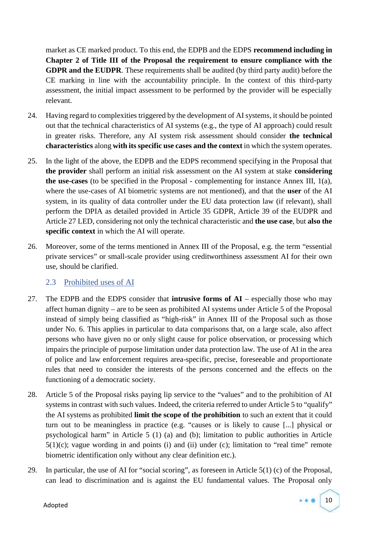market as CE marked product. To this end, the EDPB and the EDPS **recommend including in Chapter 2 of Title III of the Proposal the requirement to ensure compliance with the GDPR and the EUDPR**. These requirements shall be audited (by third party audit) before the CE marking in line with the accountability principle. In the context of this third-party assessment, the initial impact assessment to be performed by the provider will be especially relevant.

- 24. Having regard to complexities triggered by the development of AI systems, it should be pointed out that the technical characteristics of AI systems (e.g., the type of AI approach) could result in greater risks. Therefore, any AI system risk assessment should consider **the technical characteristics** along **with its specific use cases and the context** in which the system operates.
- 25. In the light of the above, the EDPB and the EDPS recommend specifying in the Proposal that **the provider** shall perform an initial risk assessment on the AI system at stake **considering the use-cases** (to be specified in the Proposal - complementing for instance Annex III, 1(a), where the use-cases of AI biometric systems are not mentioned), and that the **user** of the AI system, in its quality of data controller under the EU data protection law (if relevant), shall perform the DPIA as detailed provided in Article 35 GDPR, Article 39 of the EUDPR and Article 27 LED, considering not only the technical characteristic and **the use case**, but **also the specific context** in which the AI will operate.
- 26. Moreover, some of the terms mentioned in Annex III of the Proposal, e.g. the term "essential private services" or small-scale provider using creditworthiness assessment AI for their own use, should be clarified.

#### 2.3 Prohibited uses of AI

- 27. The EDPB and the EDPS consider that **intrusive forms of AI** especially those who may affect human dignity – are to be seen as prohibited AI systems under Article 5 of the Proposal instead of simply being classified as "high-risk" in Annex III of the Proposal such as those under No. 6. This applies in particular to data comparisons that, on a large scale, also affect persons who have given no or only slight cause for police observation, or processing which impairs the principle of purpose limitation under data protection law. The use of AI in the area of police and law enforcement requires area-specific, precise, foreseeable and proportionate rules that need to consider the interests of the persons concerned and the effects on the functioning of a democratic society.
- 28. Article 5 of the Proposal risks paying lip service to the "values" and to the prohibition of AI systems in contrast with such values. Indeed, the criteria referred to under Article 5 to "qualify" the AI systems as prohibited **limit the scope of the prohibition** to such an extent that it could turn out to be meaningless in practice (e.g. "causes or is likely to cause [...] physical or psychological harm" in Article 5 (1) (a) and (b); limitation to public authorities in Article  $5(1)(c)$ ; vague wording in and points (i) and (ii) under (c); limitation to "real time" remote biometric identification only without any clear definition etc.).
- 29. In particular, the use of AI for "social scoring", as foreseen in Article 5(1) (c) of the Proposal, can lead to discrimination and is against the EU fundamental values. The Proposal only

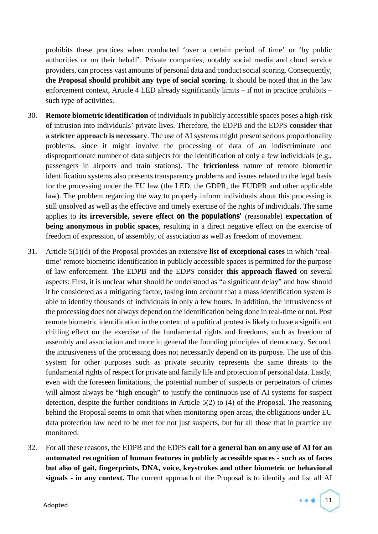prohibits these practices when conducted 'over a certain period of time' or 'by public authorities or on their behalf'. Private companies, notably social media and cloud service providers, can process vast amounts of personal data and conduct social scoring. Consequently, **the Proposal should prohibit any type of social scoring**. It should be noted that in the law enforcement context, Article 4 LED already significantly limits – if not in practice prohibits – such type of activities.

- 30. **Remote biometric identification** of individuals in publicly accessible spaces poses a high-risk of intrusion into individuals' private lives. Therefore, the EDPB and the EDPS **consider that a stricter approach is necessary**. The use of AI systems might present serious proportionality problems, since it might involve the processing of data of an indiscriminate and disproportionate number of data subjects for the identification of only a few individuals (e.g., passengers in airports and train stations). The **frictionless** nature of remote biometric identification systems also presents transparency problems and issues related to the legal basis for the processing under the EU law (the LED, the GDPR, the EUDPR and other applicable law). The problem regarding the way to properly inform individuals about this processing is still unsolved as well as the effective and timely exercise of the rights of individuals. The same applies to **its irreversible, severe effect on the populations'** (reasonable) **expectation of being anonymous in public spaces**, resulting in a direct negative effect on the exercise of freedom of expression, of assembly, of association as well as freedom of movement.
- 31. Article 5(1)(d) of the Proposal provides an extensive **list of exceptional cases** in which 'realtime' remote biometric identification in publicly accessible spaces is permitted for the purpose of law enforcement. The EDPB and the EDPS consider **this approach flawed** on several aspects: First, it is unclear what should be understood as "a significant delay" and how should it be considered as a mitigating factor, taking into account that a mass identification system is able to identify thousands of individuals in only a few hours. In addition, the intrusiveness of the processing does not always depend on the identification being done in real-time or not. Post remote biometric identification in the context of a political protest is likely to have a significant chilling effect on the exercise of the fundamental rights and freedoms, such as freedom of assembly and association and more in general the founding principles of democracy. Second, the intrusiveness of the processing does not necessarily depend on its purpose. The use of this system for other purposes such as private security represents the same threats to the fundamental rights of respect for private and family life and protection of personal data. Lastly, even with the foreseen limitations, the potential number of suspects or perpetrators of crimes will almost always be "high enough" to justify the continuous use of AI systems for suspect detection, despite the further conditions in Article 5(2) to (4) of the Proposal. The reasoning behind the Proposal seems to omit that when monitoring open areas, the obligations under EU data protection law need to be met for not just suspects, but for all those that in practice are monitored.
- 32. For all these reasons, the EDPB and the EDPS **call for a general ban on any use of AI for an automated recognition of human features in publicly accessible spaces - such as of faces but also of gait, fingerprints, DNA, voice, keystrokes and other biometric or behavioral signals - in any context.** The current approach of the Proposal is to identify and list all AI

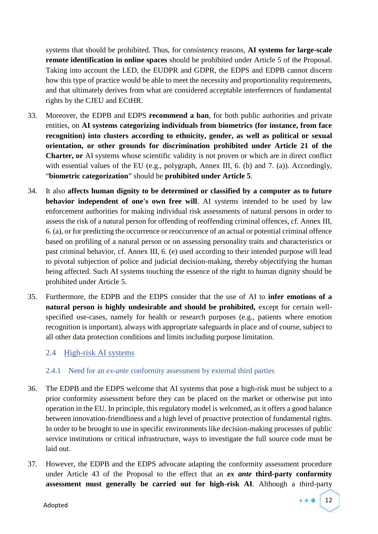systems that should be prohibited. Thus, for consistency reasons, **AI systems for large-scale remote identification in online spaces** should be prohibited under Article 5 of the Proposal. Taking into account the LED, the EUDPR and GDPR, the EDPS and EDPB cannot discern how this type of practice would be able to meet the necessity and proportionality requirements, and that ultimately derives from what are considered acceptable interferences of fundamental rights by the CJEU and ECtHR.

- 33. Moreover, the EDPB and EDPS **recommend a ban**, for both public authorities and private entities, on **AI systems categorizing individuals from biometrics (for instance, from face recognition) into clusters according to ethnicity, gender, as well as political or sexual orientation, or other grounds for discrimination prohibited under Article 21 of the Charter, or** AI systems whose scientific validity is not proven or which are in direct conflict with essential values of the EU (e.g., polygraph, Annex III, 6. (b) and 7. (a)). Accordingly, "**biometric categorization**" should be **prohibited under Article 5**.
- 34. It also **affects human dignity to be determined or classified by a computer as to future behavior independent of one's own free will**. AI systems intended to be used by law enforcement authorities for making individual risk assessments of natural persons in order to assess the risk of a natural person for offending of reoffending criminal offences, cf. Annex III, 6. (a), or for predicting the occurrence or reoccurrence of an actual or potential criminal offence based on profiling of a natural person or on assessing personality traits and characteristics or past criminal behavior, cf. Annex III, 6. (e) used according to their intended purpose will lead to pivotal subjection of police and judicial decision-making, thereby objectifying the human being affected. Such AI systems touching the essence of the right to human dignity should be prohibited under Article 5.
- 35. Furthermore, the EDPB and the EDPS consider that the use of AI to **infer emotions of a natural person is highly undesirable and should be prohibited,** except for certain well specified use-cases, namely for health or research purposes (e.g., patients where emotion recognition is important), always with appropriate safeguards in place and of course, subject to all other data protection conditions and limits including purpose limitation.

#### 2.4 High-risk AI systems

#### 2.4.1 Need for an *ex-ante* conformity assessment by external third parties

- 36. The EDPB and the EDPS welcome that AI systems that pose a high-risk must be subject to a prior conformity assessment before they can be placed on the market or otherwise put into operation in the EU. In principle, this regulatory model is welcomed, as it offers a good balance between innovation-friendliness and a high level of proactive protection of fundamental rights. In order to be brought to use in specific environments like decision-making processes of public service institutions or critical infrastructure, ways to investigate the full source code must be laid out.
- 37. However, the EDPB and the EDPS advocate adapting the conformity assessment procedure under Article 43 of the Proposal to the effect that an *ex ante* **third-party conformity assessment must generally be carried out for high-risk AI**. Although a third-party

12

Adopted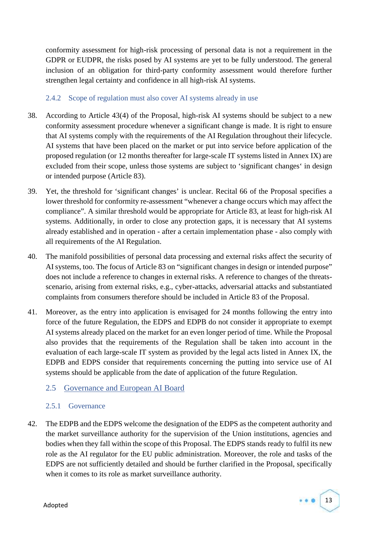conformity assessment for high-risk processing of personal data is not a requirement in the GDPR or EUDPR, the risks posed by AI systems are yet to be fully understood. The general inclusion of an obligation for third-party conformity assessment would therefore further strengthen legal certainty and confidence in all high-risk AI systems.

#### 2.4.2 Scope of regulation must also cover AI systems already in use

- 38. According to Article 43(4) of the Proposal, high-risk AI systems should be subject to a new conformity assessment procedure whenever a significant change is made. It is right to ensure that AI systems comply with the requirements of the AI Regulation throughout their lifecycle. AI systems that have been placed on the market or put into service before application of the proposed regulation (or 12 months thereafter for large-scale IT systems listed in Annex IX) are excluded from their scope, unless those systems are subject to 'significant changes' in design or intended purpose (Article 83).
- 39. Yet, the threshold for 'significant changes' is unclear. Recital 66 of the Proposal specifies a lower threshold for conformity re-assessment "whenever a change occurs which may affect the compliance". A similar threshold would be appropriate for Article 83, at least for high-risk AI systems. Additionally, in order to close any protection gaps, it is necessary that AI systems already established and in operation - after a certain implementation phase - also comply with all requirements of the AI Regulation.
- 40. The manifold possibilities of personal data processing and external risks affect the security of AI systems, too. The focus of Article 83 on "significant changes in design or intended purpose" does not include a reference to changes in external risks. A reference to changes of the threats scenario, arising from external risks, e.g., cyber-attacks, adversarial attacks and substantiated complaints from consumers therefore should be included in Article 83 of the Proposal.
- 41. Moreover, as the entry into application is envisaged for 24 months following the entry into force of the future Regulation, the EDPS and EDPB do not consider it appropriate to exempt AI systems already placed on the market for an even longer period of time. While the Proposal also provides that the requirements of the Regulation shall be taken into account in the evaluation of each large-scale IT system as provided by the legal acts listed in Annex IX, the EDPB and EDPS consider that requirements concerning the putting into service use of AI systems should be applicable from the date of application of the future Regulation.

## 2.5 Governance and European AI Board

#### 2.5.1 Governance

42. The EDPB and the EDPS welcome the designation of the EDPS as the competent authority and the market surveillance authority for the supervision of the Union institutions, agencies and bodies when they fall within the scope of this Proposal. The EDPS stands ready to fulfil its new role as the AI regulator for the EU public administration. Moreover, the role and tasks of the EDPS are not sufficiently detailed and should be further clarified in the Proposal, specifically when it comes to its role as market surveillance authority.

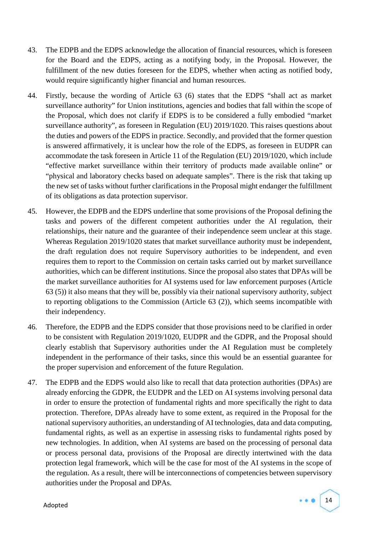- 43. The EDPB and the EDPS acknowledge the allocation of financial resources, which is foreseen for the Board and the EDPS, acting as a notifying body, in the Proposal. However, the fulfillment of the new duties foreseen for the EDPS, whether when acting as notified body, would require significantly higher financial and human resources.
- 44. Firstly, because the wording of Article 63 (6) states that the EDPS "shall act as market surveillance authority" for Union institutions, agencies and bodies that fall within the scope of the Proposal, which does not clarify if EDPS is to be considered a fully embodied "market surveillance authority", as foreseen in Regulation (EU) 2019/1020. This raises questions about the duties and powers of the EDPS in practice. Secondly, and provided that the former question is answered affirmatively, it is unclear how the role of the EDPS, as foreseen in EUDPR can accommodate the task foreseen in Article 11 of the Regulation (EU) 2019/1020, which include "effective market surveillance within their territory of products made available online" or "physical and laboratory checks based on adequate samples". There is the risk that taking up the new set of tasks without further clarifications in the Proposal might endanger the fulfillment of its obligations as data protection supervisor.
- 45. However, the EDPB and the EDPS underline that some provisions of the Proposal defining the tasks and powers of the different competent authorities under the AI regulation, their relationships, their nature and the guarantee of their independence seem unclear at this stage. Whereas Regulation 2019/1020 states that market surveillance authority must be independent, the draft regulation does not require Supervisory authorities to be independent, and even requires them to report to the Commission on certain tasks carried out by market surveillance authorities, which can be different institutions. Since the proposal also states that DPAs will be the market surveillance authorities for AI systems used for law enforcement purposes (Article 63 (5)) it also means that they will be, possibly via their national supervisory authority, subject to reporting obligations to the Commission (Article 63 (2)), which seems incompatible with their independency.
- 46. Therefore, the EDPB and the EDPS consider that those provisions need to be clarified in order to be consistent with Regulation 2019/1020, EUDPR and the GDPR, and the Proposal should clearly establish that Supervisory authorities under the AI Regulation must be completely independent in the performance of their tasks, since this would be an essential guarantee for the proper supervision and enforcement of the future Regulation.
- 47. The EDPB and the EDPS would also like to recall that data protection authorities (DPAs) are already enforcing the GDPR, the EUDPR and the LED on AI systems involving personal data in order to ensure the protection of fundamental rights and more specifically the right to data protection. Therefore, DPAs already have to some extent, as required in the Proposal for the national supervisory authorities, an understanding of AI technologies, data and data computing, fundamental rights, as well as an expertise in assessing risks to fundamental rights posed by new technologies. In addition, when AI systems are based on the processing of personal data or process personal data, provisions of the Proposal are directly intertwined with the data protection legal framework, which will be the case for most of the AI systems in the scope of the regulation. As a result, there will be interconnections of competencies between supervisory authorities under the Proposal and DPAs.



Adopted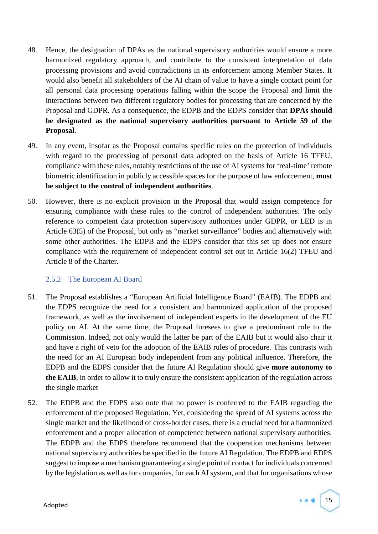- 48. Hence, the designation of DPAs as the national supervisory authorities would ensure a more harmonized regulatory approach, and contribute to the consistent interpretation of data processing provisions and avoid contradictions in its enforcement among Member States. It would also benefit all stakeholders of the AI chain of value to have a single contact point for all personal data processing operations falling within the scope the Proposal and limit the interactions between two different regulatory bodies for processing that are concerned by the Proposal and GDPR. As a consequence, the EDPB and the EDPS consider that **DPAs should be designated as the national supervisory authorities pursuant to Article 59 of the Proposal**.
- 49. In any event, insofar as the Proposal contains specific rules on the protection of individuals with regard to the processing of personal data adopted on the basis of Article 16 TFEU, compliance with these rules, notably restrictions of the use of AI systems for 'real-time' remote biometric identification in publicly accessible spaces for the purpose of law enforcement, **must be subject to the control of independent authorities**.
- 50. However, there is no explicit provision in the Proposal that would assign competence for ensuring compliance with these rules to the control of independent authorities. The only reference to competent data protection supervisory authorities under GDPR, or LED is in Article 63(5) of the Proposal, but only as "market surveillance" bodies and alternatively with some other authorities. The EDPB and the EDPS consider that this set up does not ensure compliance with the requirement of independent control set out in Article 16(2) TFEU and Article 8 of the Charter.

#### 2.5.2 The European AI Board

- 51. The Proposal establishes a "European Artificial Intelligence Board" (EAIB). The EDPB and the EDPS recognize the need for a consistent and harmonized application of the proposed framework, as well as the involvement of independent experts in the development of the EU policy on AI. At the same time, the Proposal foresees to give a predominant role to the Commission. Indeed, not only would the latter be part of the EAIB but it would also chair it and have a right of veto for the adoption of the EAIB rules of procedure. This contrasts with the need for an AI European body independent from any political influence. Therefore, the EDPB and the EDPS consider that the future AI Regulation should give **more autonomy to the EAIB**, in order to allow it to truly ensure the consistent application of the regulation across the single market
- 52. The EDPB and the EDPS also note that no power is conferred to the EAIB regarding the enforcement of the proposed Regulation. Yet, considering the spread of AI systems across the single market and the likelihood of cross-border cases, there is a crucial need for a harmonized enforcement and a proper allocation of competence between national supervisory authorities. The EDPB and the EDPS therefore recommend that the cooperation mechanisms between national supervisory authorities be specified in the future AI Regulation. The EDPB and EDPS suggest to impose a mechanism guaranteeing a single point of contact for individuals concerned by the legislation as well as for companies, for each AI system, and that for organisations whose

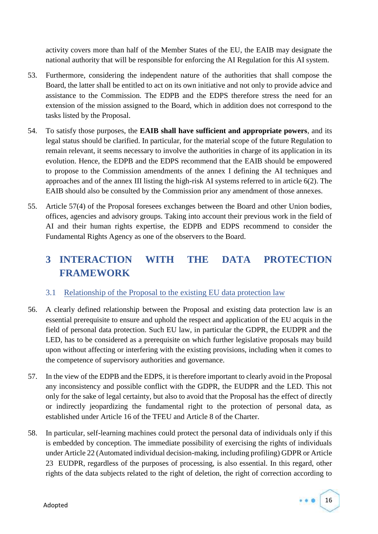activity covers more than half of the Member States of the EU, the EAIB may designate the national authority that will be responsible for enforcing the AI Regulation for this AI system.

- 53. Furthermore, considering the independent nature of the authorities that shall compose the Board, the latter shall be entitled to act on its own initiative and not only to provide advice and assistance to the Commission. The EDPB and the EDPS therefore stress the need for an extension of the mission assigned to the Board, which in addition does not correspond to the tasks listed by the Proposal.
- 54. To satisfy those purposes, the **EAIB shall have sufficient and appropriate powers**, and its legal status should be clarified. In particular, for the material scope of the future Regulation to remain relevant, it seems necessary to involve the authorities in charge of its application in its evolution. Hence, the EDPB and the EDPS recommend that the EAIB should be empowered to propose to the Commission amendments of the annex I defining the AI techniques and approaches and of the annex III listing the high-risk AI systems referred to in article 6(2). The EAIB should also be consulted by the Commission prior any amendment of those annexes.
- 55. Article 57(4) of the Proposal foresees exchanges between the Board and other Union bodies, offices, agencies and advisory groups. Taking into account their previous work in the field of AI and their human rights expertise, the EDPB and EDPS recommend to consider the Fundamental Rights Agency as one of the observers to the Board.

# **3 INTERACTION WITH THE DATA PROTECTION FRAMEWORK**

## 3.1 Relationship of the Proposal to the existing EU data protection law

- 56. A clearly defined relationship between the Proposal and existing data protection law is an essential prerequisite to ensure and uphold the respect and application of the EU acquis in the field of personal data protection. Such EU law, in particular the GDPR, the EUDPR and the LED, has to be considered as a prerequisite on which further legislative proposals may build upon without affecting or interfering with the existing provisions, including when it comes to the competence of supervisory authorities and governance.
- 57. In the view of the EDPB and the EDPS, it is therefore important to clearly avoid in the Proposal any inconsistency and possible conflict with the GDPR, the EUDPR and the LED. This not only for the sake of legal certainty, but also to avoid that the Proposal has the effect of directly or indirectly jeopardizing the fundamental right to the protection of personal data, as established under Article 16 of the TFEU and Article 8 of the Charter.
- 58. In particular, self-learning machines could protect the personal data of individuals only if this is embedded by conception. The immediate possibility of exercising the rights of individuals under Article 22 (Automated individual decision-making, including profiling) GDPR or Article 23 EUDPR, regardless of the purposes of processing, is also essential. In this regard, other rights of the data subjects related to the right of deletion, the right of correction according to

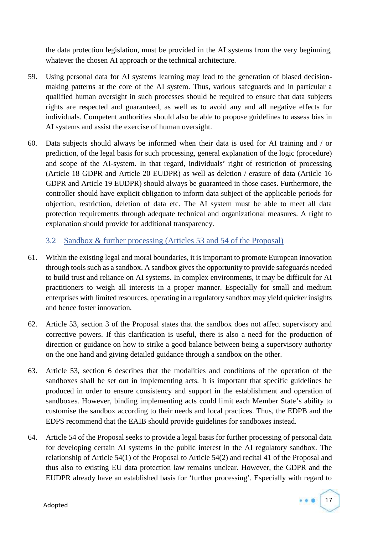the data protection legislation, must be provided in the AI systems from the very beginning, whatever the chosen AI approach or the technical architecture.

- 59. Using personal data for AI systems learning may lead to the generation of biased decision making patterns at the core of the AI system. Thus, various safeguards and in particular a qualified human oversight in such processes should be required to ensure that data subjects rights are respected and guaranteed, as well as to avoid any and all negative effects for individuals. Competent authorities should also be able to propose guidelines to assess bias in AI systems and assist the exercise of human oversight.
- 60. Data subjects should always be informed when their data is used for AI training and / or prediction, of the legal basis for such processing, general explanation of the logic (procedure) and scope of the AI-system. In that regard, individuals' right of restriction of processing (Article 18 GDPR and Article 20 EUDPR) as well as deletion / erasure of data (Article 16 GDPR and Article 19 EUDPR) should always be guaranteed in those cases. Furthermore, the controller should have explicit obligation to inform data subject of the applicable periods for objection, restriction, deletion of data etc. The AI system must be able to meet all data protection requirements through adequate technical and organizational measures. A right to explanation should provide for additional transparency.

## 3.2 Sandbox & further processing (Articles 53 and 54 of the Proposal)

- 61. Within the existing legal and moral boundaries, it is important to promote European innovation through tools such as a sandbox. A sandbox gives the opportunity to provide safeguards needed to build trust and reliance on AI systems. In complex environments, it may be difficult for AI practitioners to weigh all interests in a proper manner. Especially for small and medium enterprises with limited resources, operating in a regulatory sandbox may yield quicker insights and hence foster innovation*.*
- 62. Article 53, section 3 of the Proposal states that the sandbox does not affect supervisory and corrective powers. If this clarification is useful, there is also a need for the production of direction or guidance on how to strike a good balance between being a supervisory authority on the one hand and giving detailed guidance through a sandbox on the other.
- 63. Article 53, section 6 describes that the modalities and conditions of the operation of the sandboxes shall be set out in implementing acts. It is important that specific guidelines be produced in order to ensure consistency and support in the establishment and operation of sandboxes. However, binding implementing acts could limit each Member State's ability to customise the sandbox according to their needs and local practices. Thus, the EDPB and the EDPS recommend that the EAIB should provide guidelines for sandboxes instead.
- 64. Article 54 of the Proposal seeks to provide a legal basis for further processing of personal data for developing certain AI systems in the public interest in the AI regulatory sandbox. The relationship of Article 54(1) of the Proposal to Article 54(2) and recital 41 of the Proposal and thus also to existing EU data protection law remains unclear. However, the GDPR and the EUDPR already have an established basis for 'further processing'. Especially with regard to

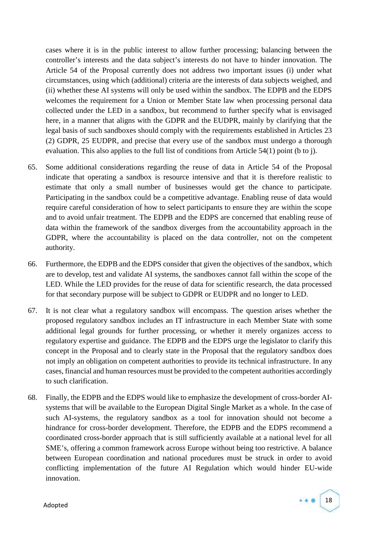cases where it is in the public interest to allow further processing; balancing between the controller's interests and the data subject's interests do not have to hinder innovation. The Article 54 of the Proposal currently does not address two important issues (i) under what circumstances, using which (additional) criteria are the interests of data subjects weighed, and (ii) whether these AI systems will only be used within the sandbox. The EDPB and the EDPS welcomes the requirement for a Union or Member State law when processing personal data collected under the LED in a sandbox, but recommend to further specify what is envisaged here, in a manner that aligns with the GDPR and the EUDPR, mainly by clarifying that the legal basis of such sandboxes should comply with the requirements established in Articles 23 (2) GDPR, 25 EUDPR, and precise that every use of the sandbox must undergo a thorough evaluation. This also applies to the full list of conditions from Article 54(1) point (b to j).

- 65. Some additional considerations regarding the reuse of data in Article 54 of the Proposal indicate that operating a sandbox is resource intensive and that it is therefore realistic to estimate that only a small number of businesses would get the chance to participate. Participating in the sandbox could be a competitive advantage. Enabling reuse of data would require careful consideration of how to select participants to ensure they are within the scope and to avoid unfair treatment. The EDPB and the EDPS are concerned that enabling reuse of data within the framework of the sandbox diverges from the accountability approach in the GDPR, where the accountability is placed on the data controller, not on the competent authority.
- 66. Furthermore, the EDPB and the EDPS consider that given the objectives of the sandbox, which are to develop, test and validate AI systems, the sandboxes cannot fall within the scope of the LED. While the LED provides for the reuse of data for scientific research, the data processed for that secondary purpose will be subject to GDPR or EUDPR and no longer to LED.
- 67. It is not clear what a regulatory sandbox will encompass. The question arises whether the proposed regulatory sandbox includes an IT infrastructure in each Member State with some additional legal grounds for further processing, or whether it merely organizes access to regulatory expertise and guidance. The EDPB and the EDPS urge the legislator to clarify this concept in the Proposal and to clearly state in the Proposal that the regulatory sandbox does not imply an obligation on competent authorities to provide its technical infrastructure. In any cases, financial and human resources must be provided to the competent authorities accordingly to such clarification.
- 68. Finally, the EDPB and the EDPS would like to emphasize the development of cross-border AI systems that will be available to the European Digital Single Market as a whole. In the case of such AI-systems, the regulatory sandbox as a tool for innovation should not become a hindrance for cross-border development. Therefore, the EDPB and the EDPS recommend a coordinated cross-border approach that is still sufficiently available at a national level for all SME's, offering a common framework across Europe without being too restrictive. A balance between European coordination and national procedures must be struck in order to avoid conflicting implementation of the future AI Regulation which would hinder EU-wide innovation.

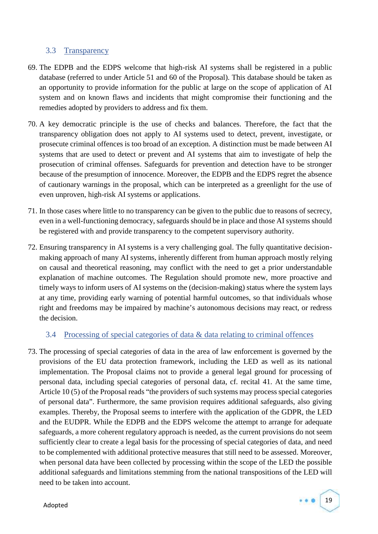## 3.3 Transparency

- 69. The EDPB and the EDPS welcome that high-risk AI systems shall be registered in a public database (referred to under Article 51 and 60 of the Proposal). This database should be taken as an opportunity to provide information for the public at large on the scope of application of AI system and on known flaws and incidents that might compromise their functioning and the remedies adopted by providers to address and fix them.
- 70. A key democratic principle is the use of checks and balances. Therefore, the fact that the transparency obligation does not apply to AI systems used to detect, prevent, investigate, or prosecute criminal offences is too broad of an exception. A distinction must be made between AI systems that are used to detect or prevent and AI systems that aim to investigate of help the prosecution of criminal offenses. Safeguards for prevention and detection have to be stronger because of the presumption of innocence. Moreover, the EDPB and the EDPS regret the absence of cautionary warnings in the proposal, which can be interpreted as a greenlight for the use of even unproven, high-risk AI systems or applications.
- 71. In those cases where little to no transparency can be given to the public due to reasons of secrecy, even in a well-functioning democracy, safeguards should be in place and those AI systems should be registered with and provide transparency to the competent supervisory authority.
- 72. Ensuring transparency in AI systems is a very challenging goal. The fully quantitative decision making approach of many AI systems, inherently different from human approach mostly relying on causal and theoretical reasoning, may conflict with the need to get a prior understandable explanation of machine outcomes. The Regulation should promote new, more proactive and timely ways to inform users of AI systems on the (decision-making) status where the system lays at any time, providing early warning of potential harmful outcomes, so that individuals whose right and freedoms may be impaired by machine's autonomous decisions may react, or redress the decision.

#### 3.4 Processing of special categories of data & data relating to criminal offences

73. The processing of special categories of data in the area of law enforcement is governed by the provisions of the EU data protection framework, including the LED as well as its national implementation. The Proposal claims not to provide a general legal ground for processing of personal data, including special categories of personal data, cf. recital 41. At the same time, Article 10 (5) of the Proposal reads "the providers of such systems may process special categories of personal data". Furthermore, the same provision requires additional safeguards, also giving examples. Thereby, the Proposal seems to interfere with the application of the GDPR, the LED and the EUDPR. While the EDPB and the EDPS welcome the attempt to arrange for adequate safeguards, a more coherent regulatory approach is needed, as the current provisions do not seem sufficiently clear to create a legal basis for the processing of special categories of data, and need to be complemented with additional protective measures that still need to be assessed. Moreover, when personal data have been collected by processing within the scope of the LED the possible additional safeguards and limitations stemming from the national transpositions of the LED will need to be taken into account.

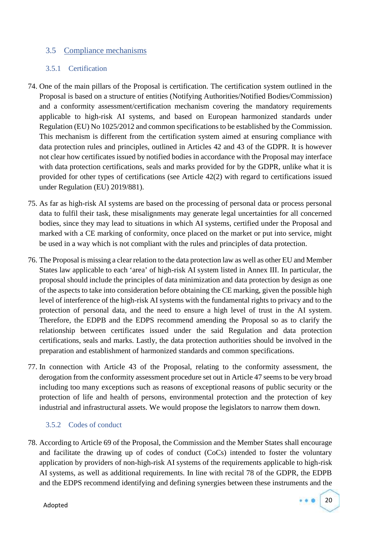### 3.5 Compliance mechanisms

#### 3.5.1 Certification

- 74. One of the main pillars of the Proposal is certification. The certification system outlined in the Proposal is based on a structure of entities (Notifying Authorities/Notified Bodies/Commission) and a conformity assessment/certification mechanism covering the mandatory requirements applicable to high-risk AI systems, and based on European harmonized standards under Regulation (EU) No 1025/2012 and common specifications to be established by the Commission. This mechanism is different from the certification system aimed at ensuring compliance with data protection rules and principles, outlined in Articles 42 and 43 of the GDPR. It is however not clear how certificates issued by notified bodies in accordance with the Proposal may interface with data protection certifications, seals and marks provided for by the GDPR, unlike what it is provided for other types of certifications (see Article 42(2) with regard to certifications issued under Regulation (EU) 2019/881).
- 75. As far as high-risk AI systems are based on the processing of personal data or process personal data to fulfil their task, these misalignments may generate legal uncertainties for all concerned bodies, since they may lead to situations in which AI systems, certified under the Proposal and marked with a CE marking of conformity, once placed on the market or put into service, might be used in a way which is not compliant with the rules and principles of data protection.
- 76. The Proposal is missing a clear relation to the data protection law as well as other EU and Member States law applicable to each 'area' of high-risk AI system listed in Annex III. In particular, the proposal should include the principles of data minimization and data protection by design as one of the aspects to take into consideration before obtaining the CE marking, given the possible high level of interference of the high-risk AI systems with the fundamental rights to privacy and to the protection of personal data, and the need to ensure a high level of trust in the AI system. Therefore, the EDPB and the EDPS recommend amending the Proposal so as to clarify the relationship between certificates issued under the said Regulation and data protection certifications, seals and marks. Lastly, the data protection authorities should be involved in the preparation and establishment of harmonized standards and common specifications.
- 77. In connection with Article 43 of the Proposal, relating to the conformity assessment, the derogation from the conformity assessment procedure set out in Article 47 seems to be very broad including too many exceptions such as reasons of exceptional reasons of public security or the protection of life and health of persons, environmental protection and the protection of key industrial and infrastructural assets. We would propose the legislators to narrow them down.

#### 3.5.2 Codes of conduct

78. According to Article 69 of the Proposal, the Commission and the Member States shall encourage and facilitate the drawing up of codes of conduct (CoCs) intended to foster the voluntary application by providers of non-high-risk AI systems of the requirements applicable to high-risk AI systems, as well as additional requirements. In line with recital 78 of the GDPR, the EDPB and the EDPS recommend identifying and defining synergies between these instruments and the

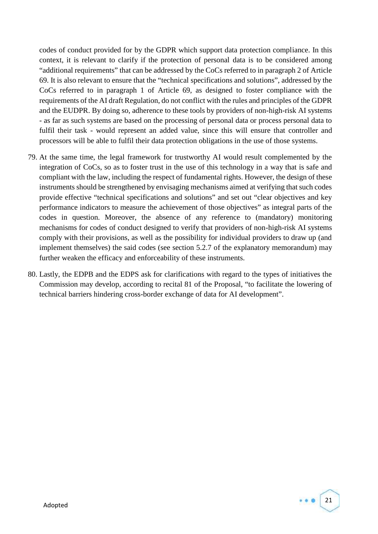codes of conduct provided for by the GDPR which support data protection compliance. In this context, it is relevant to clarify if the protection of personal data is to be considered among "additional requirements" that can be addressed by the CoCs referred to in paragraph 2 of Article 69. It is also relevant to ensure that the "technical specifications and solutions", addressed by the CoCs referred to in paragraph 1 of Article 69, as designed to foster compliance with the requirements of the AI draft Regulation, do not conflict with the rules and principles of the GDPR and the EUDPR. By doing so, adherence to these tools by providers of non-high-risk AI systems - as far as such systems are based on the processing of personal data or process personal data to fulfil their task - would represent an added value, since this will ensure that controller and processors will be able to fulfil their data protection obligations in the use of those systems.

- 79. At the same time, the legal framework for trustworthy AI would result complemented by the integration of CoCs, so as to foster trust in the use of this technology in a way that is safe and compliant with the law, including the respect of fundamental rights. However, the design of these instruments should be strengthened by envisaging mechanisms aimed at verifying that such codes provide effective "technical specifications and solutions" and set out "clear objectives and key performance indicators to measure the achievement of those objectives" as integral parts of the codes in question. Moreover, the absence of any reference to (mandatory) monitoring mechanisms for codes of conduct designed to verify that providers of non-high-risk AI systems comply with their provisions, as well as the possibility for individual providers to draw up (and implement themselves) the said codes (see section 5.2.7 of the explanatory memorandum) may further weaken the efficacy and enforceability of these instruments.
- 80. Lastly, the EDPB and the EDPS ask for clarifications with regard to the types of initiatives the Commission may develop, according to recital 81 of the Proposal, "to facilitate the lowering of technical barriers hindering cross-border exchange of data for AI development".